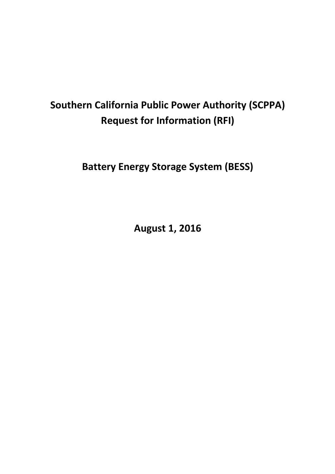# **Southern California Public Power Authority (SCPPA) Request for Information (RFI)**

**Battery Energy Storage System (BESS)**

**August 1, 2016**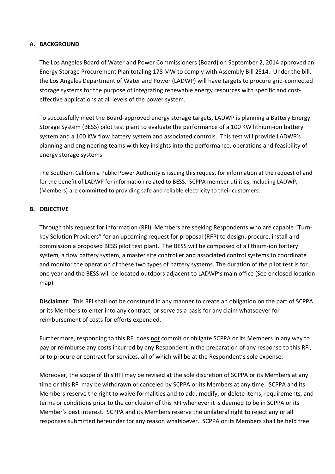#### **A. BACKGROUND**

The Los Angeles Board of Water and Power Commissioners (Board) on September 2, 2014 approved an Energy Storage Procurement Plan totaling 178 MW to comply with Assembly Bill 2514. Under the bill, the Los Angeles Department of Water and Power (LADWP) will have targets to procure grid-connected storage systems for the purpose of integrating renewable energy resources with specific and costeffective applications at all levels of the power system.

To successfully meet the Board-approved energy storage targets, LADWP is planning a Battery Energy Storage System (BESS) pilot test plant to evaluate the performance of a 100 KW lithium-ion battery system and a 100 KW flow battery system and associated controls. This test will provide LADWP's planning and engineering teams with key insights into the performance, operations and feasibility of energy storage systems.

The Southern California Public Power Authority is issuing this request for information at the request of and for the benefit of LADWP for information related to BESS. SCPPA member utilities, including LADWP, (Members) are committed to providing safe and reliable electricity to their customers.

#### **B. OBJECTIVE**

Through this request for information (RFI), Members are seeking Respondents who are capable "Turnkey Solution Providers" for an upcoming request for proposal (RFP) to design, procure, install and commission a proposed BESS pilot test plant. The BESS will be composed of a lithium-ion battery system, a flow battery system, a master site controller and associated control systems to coordinate and monitor the operation of these two types of battery systems. The duration of the pilot test is for one year and the BESS will be located outdoors adjacent to LADWP's main office (See enclosed location map).

**Disclaimer:** This RFI shall not be construed in any manner to create an obligation on the part of SCPPA or its Members to enter into any contract, or serve as a basis for any claim whatsoever for reimbursement of costs for efforts expended.

Furthermore, responding to this RFI does not commit or obligate SCPPA or its Members in any way to pay or reimburse any costs incurred by any Respondent in the preparation of any response to this RFI, or to procure or contract for services, all of which will be at the Respondent's sole expense.

Moreover, the scope of this RFI may be revised at the sole discretion of SCPPA or its Members at any time or this RFI may be withdrawn or canceled by SCPPA or its Members at any time. SCPPA and its Members reserve the right to waive formalities and to add, modify, or delete items, requirements, and terms or conditions prior to the conclusion of this RFI whenever it is deemed to be in SCPPA or its Member's best interest. SCPPA and its Members reserve the unilateral right to reject any or all responses submitted hereunder for any reason whatsoever. SCPPA or its Members shall be held free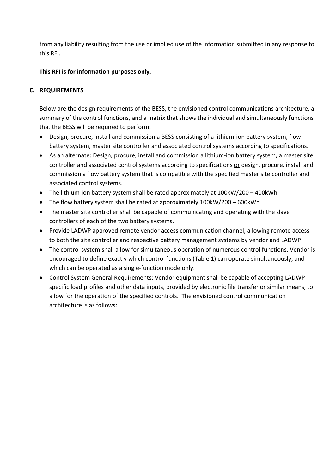from any liability resulting from the use or implied use of the information submitted in any response to this RFI.

## **This RFI is for information purposes only.**

## **C. REQUIREMENTS**

Below are the design requirements of the BESS, the envisioned control communications architecture, a summary of the control functions, and a matrix that shows the individual and simultaneously functions that the BESS will be required to perform:

- Design, procure, install and commission a BESS consisting of a lithium-ion battery system, flow battery system, master site controller and associated control systems according to specifications.
- As an alternate: Design, procure, install and commission a lithium-ion battery system, a master site controller and associated control systems according to specifications or design, procure, install and commission a flow battery system that is compatible with the specified master site controller and associated control systems.
- The lithium-ion battery system shall be rated approximately at 100kW/200 400kWh
- The flow battery system shall be rated at approximately 100kW/200 600kWh
- The master site controller shall be capable of communicating and operating with the slave controllers of each of the two battery systems.
- Provide LADWP approved remote vendor access communication channel, allowing remote access to both the site controller and respective battery management systems by vendor and LADWP
- The control system shall allow for simultaneous operation of numerous control functions. Vendor is encouraged to define exactly which control functions (Table 1) can operate simultaneously, and which can be operated as a single-function mode only.
- Control System General Requirements: Vendor equipment shall be capable of accepting LADWP specific load profiles and other data inputs, provided by electronic file transfer or similar means, to allow for the operation of the specified controls. The envisioned control communication architecture is as follows: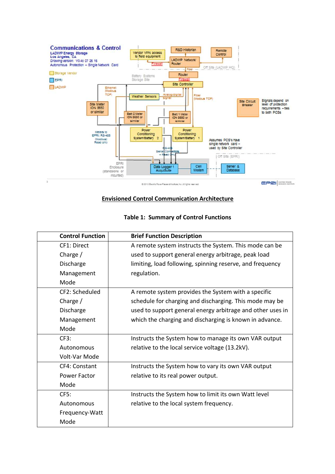

#### **Envisioned Control Communication Architecture**

| <b>Control Function</b> | <b>Brief Function Description</b>                          |
|-------------------------|------------------------------------------------------------|
| CF1: Direct             | A remote system instructs the System. This mode can be     |
| Charge $/$              | used to support general energy arbitrage, peak load        |
| Discharge               | limiting, load following, spinning reserve, and frequency  |
| Management              | regulation.                                                |
| Mode                    |                                                            |
| CF2: Scheduled          | A remote system provides the System with a specific        |
| Charge $/$              | schedule for charging and discharging. This mode may be    |
| Discharge               | used to support general energy arbitrage and other uses in |
| Management              | which the charging and discharging is known in advance.    |
| Mode                    |                                                            |
| CF3:                    | Instructs the System how to manage its own VAR output      |
| Autonomous              | relative to the local service voltage (13.2kV).            |
| Volt-Var Mode           |                                                            |
| CF4: Constant           | Instructs the System how to vary its own VAR output        |
| Power Factor            | relative to its real power output.                         |
| Mode                    |                                                            |
| CF5:                    | Instructs the System how to limit its own Watt level       |
| Autonomous              | relative to the local system frequency.                    |
| Frequency-Watt          |                                                            |
| Mode                    |                                                            |

#### **Table 1: Summary of Control Functions**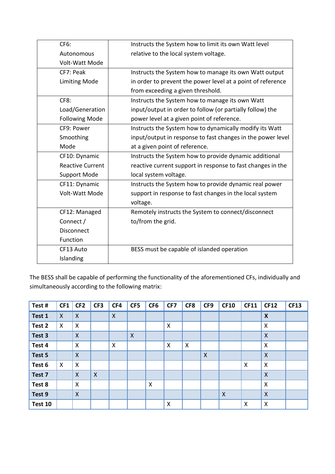| CF6:                    | Instructs the System how to limit its own Watt level        |
|-------------------------|-------------------------------------------------------------|
| Autonomous              | relative to the local system voltage.                       |
| Volt-Watt Mode          |                                                             |
| CF7: Peak               | Instructs the System how to manage its own Watt output      |
| <b>Limiting Mode</b>    | in order to prevent the power level at a point of reference |
|                         | from exceeding a given threshold.                           |
| CF8:                    | Instructs the System how to manage its own Watt             |
| Load/Generation         | input/output in order to follow (or partially follow) the   |
| <b>Following Mode</b>   | power level at a given point of reference.                  |
| CF9: Power              | Instructs the System how to dynamically modify its Watt     |
| Smoothing               | input/output in response to fast changes in the power level |
| Mode                    | at a given point of reference.                              |
| CF10: Dynamic           | Instructs the System how to provide dynamic additional      |
| <b>Reactive Current</b> | reactive current support in response to fast changes in the |
| <b>Support Mode</b>     | local system voltage.                                       |
| CF11: Dynamic           | Instructs the System how to provide dynamic real power      |
| Volt-Watt Mode          | support in response to fast changes in the local system     |
|                         | voltage.                                                    |
| CF12: Managed           | Remotely instructs the System to connect/disconnect         |
| Connect /               | to/from the grid.                                           |
| Disconnect              |                                                             |
| Function                |                                                             |
| CF13 Auto               | BESS must be capable of islanded operation                  |
| Islanding               |                                                             |

The BESS shall be capable of performing the functionality of the aforementioned CFs, individually and simultaneously according to the following matrix:

| Test#   | CF1                       | CF <sub>2</sub>           | CF <sub>3</sub> | CF4                       | CF5                       | CF <sub>6</sub>           | CF7 | CF8 | CF9                       | <b>CF10</b>               | <b>CF11</b>               | <b>CF12</b>               | <b>CF13</b> |
|---------|---------------------------|---------------------------|-----------------|---------------------------|---------------------------|---------------------------|-----|-----|---------------------------|---------------------------|---------------------------|---------------------------|-------------|
| Test 1  | $\boldsymbol{\mathsf{X}}$ | $\boldsymbol{\mathsf{X}}$ |                 | $\boldsymbol{\mathsf{X}}$ |                           |                           |     |     |                           |                           |                           | $\boldsymbol{\mathsf{x}}$ |             |
| Test 2  | $\boldsymbol{\mathsf{X}}$ | X                         |                 |                           |                           |                           | X   |     |                           |                           |                           | $\mathsf{X}$              |             |
| Test 3  |                           | $\boldsymbol{\mathsf{X}}$ |                 |                           | $\boldsymbol{\mathsf{X}}$ |                           |     |     |                           |                           |                           | $\boldsymbol{X}$          |             |
| Test 4  |                           | $\boldsymbol{\mathsf{X}}$ |                 | $\boldsymbol{\mathsf{X}}$ |                           |                           | X   | X   |                           |                           |                           | $\boldsymbol{\mathsf{X}}$ |             |
| Test 5  |                           | $\boldsymbol{\mathsf{X}}$ |                 |                           |                           |                           |     |     | $\boldsymbol{\mathsf{X}}$ |                           |                           | $\overline{\mathsf{X}}$   |             |
| Test 6  | $\boldsymbol{\mathsf{X}}$ | X                         |                 |                           |                           |                           |     |     |                           |                           | $\boldsymbol{\mathsf{X}}$ | $\boldsymbol{\mathsf{X}}$ |             |
| Test 7  |                           | $\boldsymbol{\mathsf{X}}$ | $\mathsf{X}$    |                           |                           |                           |     |     |                           |                           |                           | $\mathsf{X}$              |             |
| Test 8  |                           | $\boldsymbol{\mathsf{X}}$ |                 |                           |                           | $\boldsymbol{\mathsf{X}}$ |     |     |                           |                           |                           | $\boldsymbol{\mathsf{X}}$ |             |
| Test 9  |                           | $\boldsymbol{\mathsf{X}}$ |                 |                           |                           |                           |     |     |                           | $\boldsymbol{\mathsf{X}}$ |                           | $\mathsf{X}$              |             |
| Test 10 |                           |                           |                 |                           |                           |                           | X   |     |                           |                           | $\boldsymbol{\mathsf{x}}$ | X                         |             |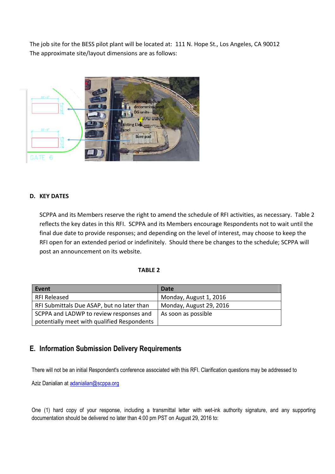The job site for the BESS pilot plant will be located at: 111 N. Hope St., Los Angeles, CA 90012 The approximate site/layout dimensions are as follows:



#### **D. KEY DATES**

SCPPA and its Members reserve the right to amend the schedule of RFI activities, as necessary. Table 2 reflects the key dates in this RFI. SCPPA and its Members encourage Respondents not to wait until the final due date to provide responses; and depending on the level of interest, may choose to keep the RFI open for an extended period or indefinitely. Should there be changes to the schedule; SCPPA will post an announcement on its website.

#### **TABLE 2**

| Event                                       | Date                    |
|---------------------------------------------|-------------------------|
| <b>RFI Released</b>                         | Monday, August 1, 2016  |
| RFI Submittals Due ASAP, but no later than  | Monday, August 29, 2016 |
| SCPPA and LADWP to review responses and     | As soon as possible     |
| potentially meet with qualified Respondents |                         |

## **E. Information Submission Delivery Requirements**

There will not be an initial Respondent's conference associated with this RFI. Clarification questions may be addressed to

Aziz Danialian at adanialian@scppa.org

One (1) hard copy of your response, including a transmittal letter with wet-ink authority signature, and any supporting documentation should be delivered no later than 4:00 pm PST on August 29, 2016 to: